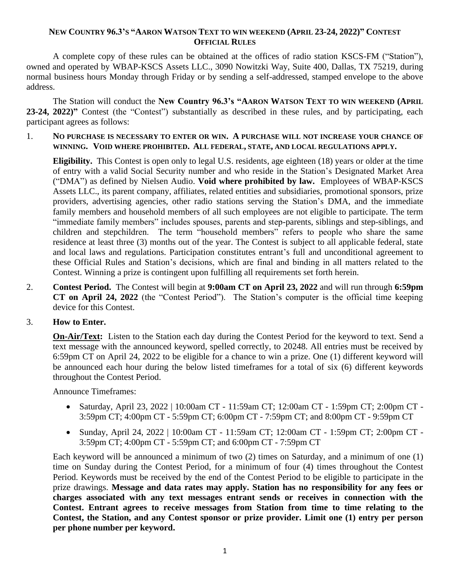### **NEW COUNTRY 96.3'S "AARON WATSON TEXT TO WIN WEEKEND (APRIL 23-24, 2022)" CONTEST OFFICIAL RULES**

A complete copy of these rules can be obtained at the offices of radio station KSCS-FM ("Station"), owned and operated by WBAP-KSCS Assets LLC., 3090 Nowitzki Way, Suite 400, Dallas, TX 75219, during normal business hours Monday through Friday or by sending a self-addressed, stamped envelope to the above address.

The Station will conduct the **New Country 96.3's "AARON WATSON TEXT TO WIN WEEKEND (APRIL 23-24, 2022)"** Contest (the "Contest") substantially as described in these rules, and by participating, each participant agrees as follows:

1. **NO PURCHASE IS NECESSARY TO ENTER OR WIN. A PURCHASE WILL NOT INCREASE YOUR CHANCE OF WINNING. VOID WHERE PROHIBITED. ALL FEDERAL, STATE, AND LOCAL REGULATIONS APPLY.**

**Eligibility.** This Contest is open only to legal U.S. residents, age eighteen (18) years or older at the time of entry with a valid Social Security number and who reside in the Station's Designated Market Area ("DMA") as defined by Nielsen Audio. **Void where prohibited by law.** Employees of WBAP-KSCS Assets LLC., its parent company, affiliates, related entities and subsidiaries, promotional sponsors, prize providers, advertising agencies, other radio stations serving the Station's DMA, and the immediate family members and household members of all such employees are not eligible to participate. The term "immediate family members" includes spouses, parents and step-parents, siblings and step-siblings, and children and stepchildren. The term "household members" refers to people who share the same residence at least three (3) months out of the year. The Contest is subject to all applicable federal, state and local laws and regulations. Participation constitutes entrant's full and unconditional agreement to these Official Rules and Station's decisions, which are final and binding in all matters related to the Contest. Winning a prize is contingent upon fulfilling all requirements set forth herein.

- 2. **Contest Period.** The Contest will begin at **9:00am CT on April 23, 2022** and will run through **6:59pm CT on April 24, 2022** (the "Contest Period"). The Station's computer is the official time keeping device for this Contest.
- 3. **How to Enter.**

**On-Air/Text:** Listen to the Station each day during the Contest Period for the keyword to text. Send a text message with the announced keyword, spelled correctly, to 20248. All entries must be received by 6:59pm CT on April 24, 2022 to be eligible for a chance to win a prize. One (1) different keyword will be announced each hour during the below listed timeframes for a total of six (6) different keywords throughout the Contest Period.

Announce Timeframes:

- Saturday, April 23, 2022 | 10:00am CT 11:59am CT; 12:00am CT 1:59pm CT; 2:00pm CT 3:59pm CT; 4:00pm CT - 5:59pm CT; 6:00pm CT - 7:59pm CT; and 8:00pm CT - 9:59pm CT
- Sunday, April 24, 2022 | 10:00am CT 11:59am CT; 12:00am CT 1:59pm CT; 2:00pm CT 3:59pm CT; 4:00pm CT - 5:59pm CT; and 6:00pm CT - 7:59pm CT

Each keyword will be announced a minimum of two (2) times on Saturday, and a minimum of one (1) time on Sunday during the Contest Period, for a minimum of four (4) times throughout the Contest Period. Keywords must be received by the end of the Contest Period to be eligible to participate in the prize drawings. **Message and data rates may apply. Station has no responsibility for any fees or charges associated with any text messages entrant sends or receives in connection with the Contest. Entrant agrees to receive messages from Station from time to time relating to the Contest, the Station, and any Contest sponsor or prize provider. Limit one (1) entry per person per phone number per keyword.**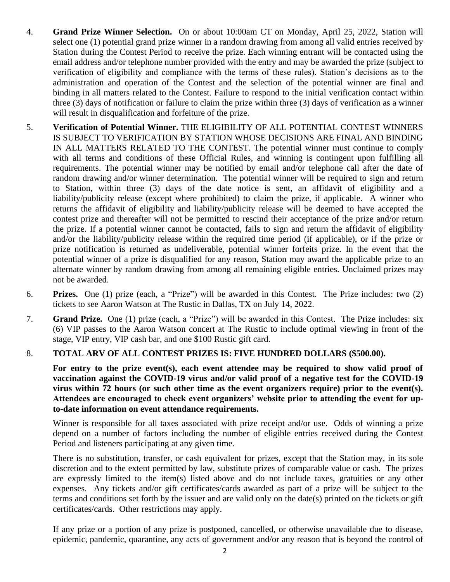- 4. **Grand Prize Winner Selection.** On or about 10:00am CT on Monday, April 25, 2022, Station will select one (1) potential grand prize winner in a random drawing from among all valid entries received by Station during the Contest Period to receive the prize. Each winning entrant will be contacted using the email address and/or telephone number provided with the entry and may be awarded the prize (subject to verification of eligibility and compliance with the terms of these rules). Station's decisions as to the administration and operation of the Contest and the selection of the potential winner are final and binding in all matters related to the Contest. Failure to respond to the initial verification contact within three (3) days of notification or failure to claim the prize within three (3) days of verification as a winner will result in disqualification and forfeiture of the prize.
- 5. **Verification of Potential Winner.** THE ELIGIBILITY OF ALL POTENTIAL CONTEST WINNERS IS SUBJECT TO VERIFICATION BY STATION WHOSE DECISIONS ARE FINAL AND BINDING IN ALL MATTERS RELATED TO THE CONTEST. The potential winner must continue to comply with all terms and conditions of these Official Rules, and winning is contingent upon fulfilling all requirements. The potential winner may be notified by email and/or telephone call after the date of random drawing and/or winner determination. The potential winner will be required to sign and return to Station, within three (3) days of the date notice is sent, an affidavit of eligibility and a liability/publicity release (except where prohibited) to claim the prize, if applicable. A winner who returns the affidavit of eligibility and liability/publicity release will be deemed to have accepted the contest prize and thereafter will not be permitted to rescind their acceptance of the prize and/or return the prize. If a potential winner cannot be contacted, fails to sign and return the affidavit of eligibility and/or the liability/publicity release within the required time period (if applicable), or if the prize or prize notification is returned as undeliverable, potential winner forfeits prize. In the event that the potential winner of a prize is disqualified for any reason, Station may award the applicable prize to an alternate winner by random drawing from among all remaining eligible entries. Unclaimed prizes may not be awarded.
- 6. **Prizes.** One (1) prize (each, a "Prize") will be awarded in this Contest. The Prize includes: two (2) tickets to see Aaron Watson at The Rustic in Dallas, TX on July 14, 2022.
- 7. **Grand Prize.** One (1) prize (each, a "Prize") will be awarded in this Contest. The Prize includes: six (6) VIP passes to the Aaron Watson concert at The Rustic to include optimal viewing in front of the stage, VIP entry, VIP cash bar, and one \$100 Rustic gift card.

# 8. **TOTAL ARV OF ALL CONTEST PRIZES IS: FIVE HUNDRED DOLLARS (\$500.00).**

For entry to the prize event(s), each event attendee may be required to show valid proof of **vaccination against the COVID-19 virus and/or valid proof of a negative test for the COVID-19 virus within 72 hours (or such other time as the event organizers require) prior to the event(s). Attendees are encouraged to check event organizers' website prior to attending the event for upto-date information on event attendance requirements.**

Winner is responsible for all taxes associated with prize receipt and/or use. Odds of winning a prize depend on a number of factors including the number of eligible entries received during the Contest Period and listeners participating at any given time.

There is no substitution, transfer, or cash equivalent for prizes, except that the Station may, in its sole discretion and to the extent permitted by law, substitute prizes of comparable value or cash. The prizes are expressly limited to the item(s) listed above and do not include taxes, gratuities or any other expenses. Any tickets and/or gift certificates/cards awarded as part of a prize will be subject to the terms and conditions set forth by the issuer and are valid only on the date(s) printed on the tickets or gift certificates/cards. Other restrictions may apply.

If any prize or a portion of any prize is postponed, cancelled, or otherwise unavailable due to disease, epidemic, pandemic, quarantine, any acts of government and/or any reason that is beyond the control of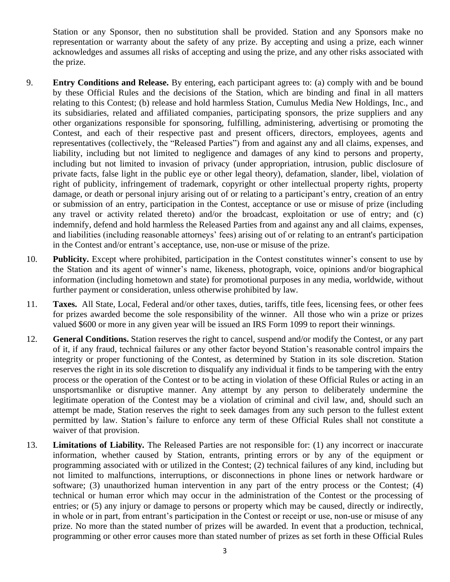Station or any Sponsor, then no substitution shall be provided. Station and any Sponsors make no representation or warranty about the safety of any prize. By accepting and using a prize, each winner acknowledges and assumes all risks of accepting and using the prize, and any other risks associated with the prize.

- 9. **Entry Conditions and Release.** By entering, each participant agrees to: (a) comply with and be bound by these Official Rules and the decisions of the Station, which are binding and final in all matters relating to this Contest; (b) release and hold harmless Station, Cumulus Media New Holdings, Inc., and its subsidiaries, related and affiliated companies, participating sponsors, the prize suppliers and any other organizations responsible for sponsoring, fulfilling, administering, advertising or promoting the Contest, and each of their respective past and present officers, directors, employees, agents and representatives (collectively, the "Released Parties") from and against any and all claims, expenses, and liability, including but not limited to negligence and damages of any kind to persons and property, including but not limited to invasion of privacy (under appropriation, intrusion, public disclosure of private facts, false light in the public eye or other legal theory), defamation, slander, libel, violation of right of publicity, infringement of trademark, copyright or other intellectual property rights, property damage, or death or personal injury arising out of or relating to a participant's entry, creation of an entry or submission of an entry, participation in the Contest, acceptance or use or misuse of prize (including any travel or activity related thereto) and/or the broadcast, exploitation or use of entry; and (c) indemnify, defend and hold harmless the Released Parties from and against any and all claims, expenses, and liabilities (including reasonable attorneys' fees) arising out of or relating to an entrant's participation in the Contest and/or entrant's acceptance, use, non-use or misuse of the prize.
- 10. **Publicity.** Except where prohibited, participation in the Contest constitutes winner's consent to use by the Station and its agent of winner's name, likeness, photograph, voice, opinions and/or biographical information (including hometown and state) for promotional purposes in any media, worldwide, without further payment or consideration, unless otherwise prohibited by law.
- 11. **Taxes.** All State, Local, Federal and/or other taxes, duties, tariffs, title fees, licensing fees, or other fees for prizes awarded become the sole responsibility of the winner. All those who win a prize or prizes valued \$600 or more in any given year will be issued an IRS Form 1099 to report their winnings.
- 12. **General Conditions.** Station reserves the right to cancel, suspend and/or modify the Contest, or any part of it, if any fraud, technical failures or any other factor beyond Station's reasonable control impairs the integrity or proper functioning of the Contest, as determined by Station in its sole discretion. Station reserves the right in its sole discretion to disqualify any individual it finds to be tampering with the entry process or the operation of the Contest or to be acting in violation of these Official Rules or acting in an unsportsmanlike or disruptive manner. Any attempt by any person to deliberately undermine the legitimate operation of the Contest may be a violation of criminal and civil law, and, should such an attempt be made, Station reserves the right to seek damages from any such person to the fullest extent permitted by law. Station's failure to enforce any term of these Official Rules shall not constitute a waiver of that provision.
- 13. **Limitations of Liability.** The Released Parties are not responsible for: (1) any incorrect or inaccurate information, whether caused by Station, entrants, printing errors or by any of the equipment or programming associated with or utilized in the Contest; (2) technical failures of any kind, including but not limited to malfunctions, interruptions, or disconnections in phone lines or network hardware or software; (3) unauthorized human intervention in any part of the entry process or the Contest; (4) technical or human error which may occur in the administration of the Contest or the processing of entries; or (5) any injury or damage to persons or property which may be caused, directly or indirectly, in whole or in part, from entrant's participation in the Contest or receipt or use, non-use or misuse of any prize. No more than the stated number of prizes will be awarded. In event that a production, technical, programming or other error causes more than stated number of prizes as set forth in these Official Rules